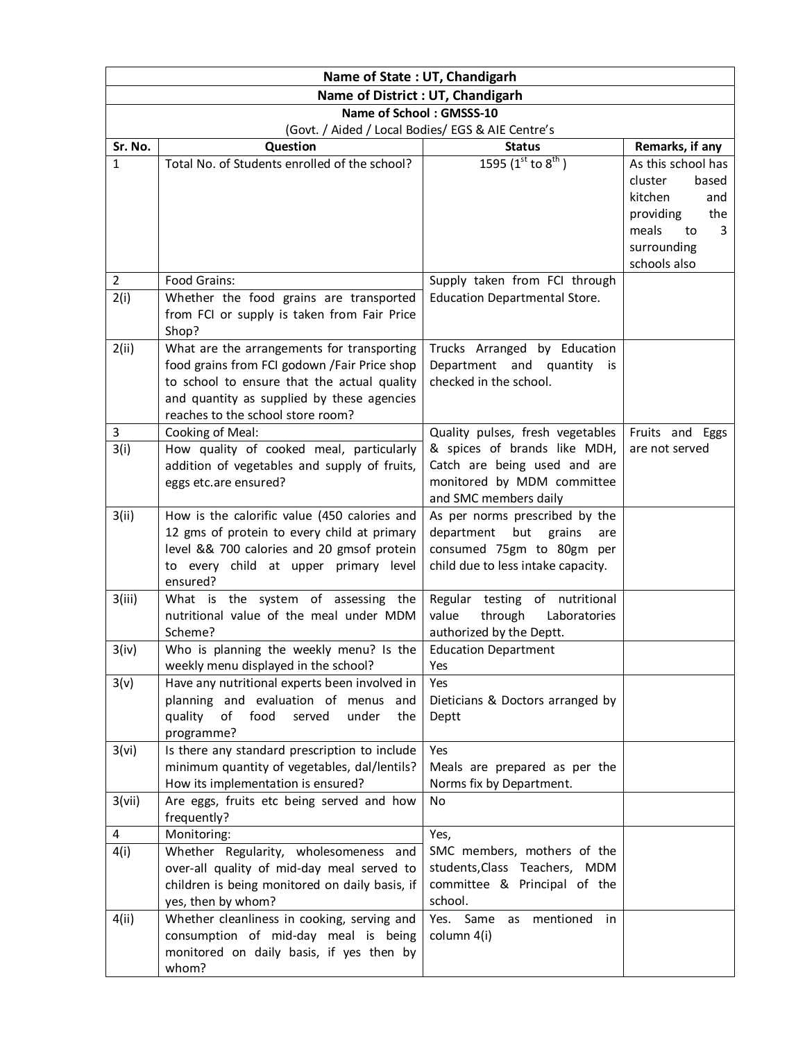|                                   | Name of State: UT, Chandigarh                                                                                                                                                                                                |                                                                                                                                         |                                                                                                                                 |  |  |  |
|-----------------------------------|------------------------------------------------------------------------------------------------------------------------------------------------------------------------------------------------------------------------------|-----------------------------------------------------------------------------------------------------------------------------------------|---------------------------------------------------------------------------------------------------------------------------------|--|--|--|
| Name of District : UT, Chandigarh |                                                                                                                                                                                                                              |                                                                                                                                         |                                                                                                                                 |  |  |  |
| Name of School: GMSSS-10          |                                                                                                                                                                                                                              |                                                                                                                                         |                                                                                                                                 |  |  |  |
|                                   | (Govt. / Aided / Local Bodies/ EGS & AIE Centre's                                                                                                                                                                            |                                                                                                                                         |                                                                                                                                 |  |  |  |
| Sr. No.                           | Question                                                                                                                                                                                                                     | <b>Status</b>                                                                                                                           | Remarks, if any                                                                                                                 |  |  |  |
| 1                                 | Total No. of Students enrolled of the school?                                                                                                                                                                                | 1595 ( $1^{\text{st}}$ to $8^{\text{th}}$ )                                                                                             | As this school has<br>cluster<br>based<br>kitchen<br>and<br>providing<br>the<br>meals<br>3<br>to<br>surrounding<br>schools also |  |  |  |
| $\overline{2}$                    | Food Grains:                                                                                                                                                                                                                 | Supply taken from FCI through                                                                                                           |                                                                                                                                 |  |  |  |
| 2(i)                              | Whether the food grains are transported<br>from FCI or supply is taken from Fair Price<br>Shop?                                                                                                                              | <b>Education Departmental Store.</b>                                                                                                    |                                                                                                                                 |  |  |  |
| 2(ii)                             | What are the arrangements for transporting<br>food grains from FCI godown /Fair Price shop<br>to school to ensure that the actual quality<br>and quantity as supplied by these agencies<br>reaches to the school store room? | Trucks Arranged by Education<br>Department and quantity is<br>checked in the school.                                                    |                                                                                                                                 |  |  |  |
| 3                                 | Cooking of Meal:                                                                                                                                                                                                             | Quality pulses, fresh vegetables                                                                                                        | Fruits and Eggs                                                                                                                 |  |  |  |
| 3(i)                              | How quality of cooked meal, particularly<br>addition of vegetables and supply of fruits,<br>eggs etc.are ensured?                                                                                                            | & spices of brands like MDH,<br>Catch are being used and are<br>monitored by MDM committee<br>and SMC members daily                     | are not served                                                                                                                  |  |  |  |
| 3(ii)                             | How is the calorific value (450 calories and<br>12 gms of protein to every child at primary<br>level && 700 calories and 20 gmsof protein<br>to every child at upper primary level<br>ensured?                               | As per norms prescribed by the<br>department<br>but<br>grains<br>are<br>consumed 75gm to 80gm per<br>child due to less intake capacity. |                                                                                                                                 |  |  |  |
| 3(iii)                            | What is the system of assessing the<br>nutritional value of the meal under MDM<br>Scheme?                                                                                                                                    | Regular testing of nutritional<br>value<br>through<br>Laboratories<br>authorized by the Deptt.                                          |                                                                                                                                 |  |  |  |
| 3(iv)                             | Who is planning the weekly menu? Is the<br>weekly menu displayed in the school?                                                                                                                                              | <b>Education Department</b><br>Yes                                                                                                      |                                                                                                                                 |  |  |  |
| 3(v)                              | Have any nutritional experts been involved in<br>planning and evaluation of menus<br>and<br>quality<br>of<br>food<br>under<br>served<br>the<br>programme?                                                                    | Yes<br>Dieticians & Doctors arranged by<br>Deptt                                                                                        |                                                                                                                                 |  |  |  |
| 3(vi)                             | Is there any standard prescription to include<br>minimum quantity of vegetables, dal/lentils?<br>How its implementation is ensured?                                                                                          | Yes<br>Meals are prepared as per the<br>Norms fix by Department.                                                                        |                                                                                                                                 |  |  |  |
| 3(vii)                            | Are eggs, fruits etc being served and how<br>frequently?                                                                                                                                                                     | No                                                                                                                                      |                                                                                                                                 |  |  |  |
| 4<br>4(i)                         | Monitoring:<br>Whether Regularity, wholesomeness and<br>over-all quality of mid-day meal served to<br>children is being monitored on daily basis, if<br>yes, then by whom?                                                   | Yes,<br>SMC members, mothers of the<br>students, Class Teachers, MDM<br>committee & Principal of the<br>school.                         |                                                                                                                                 |  |  |  |
| 4(ii)                             | Whether cleanliness in cooking, serving and<br>consumption of mid-day meal is being<br>monitored on daily basis, if yes then by<br>whom?                                                                                     | Yes. Same<br>mentioned<br>in<br>as<br>column 4(i)                                                                                       |                                                                                                                                 |  |  |  |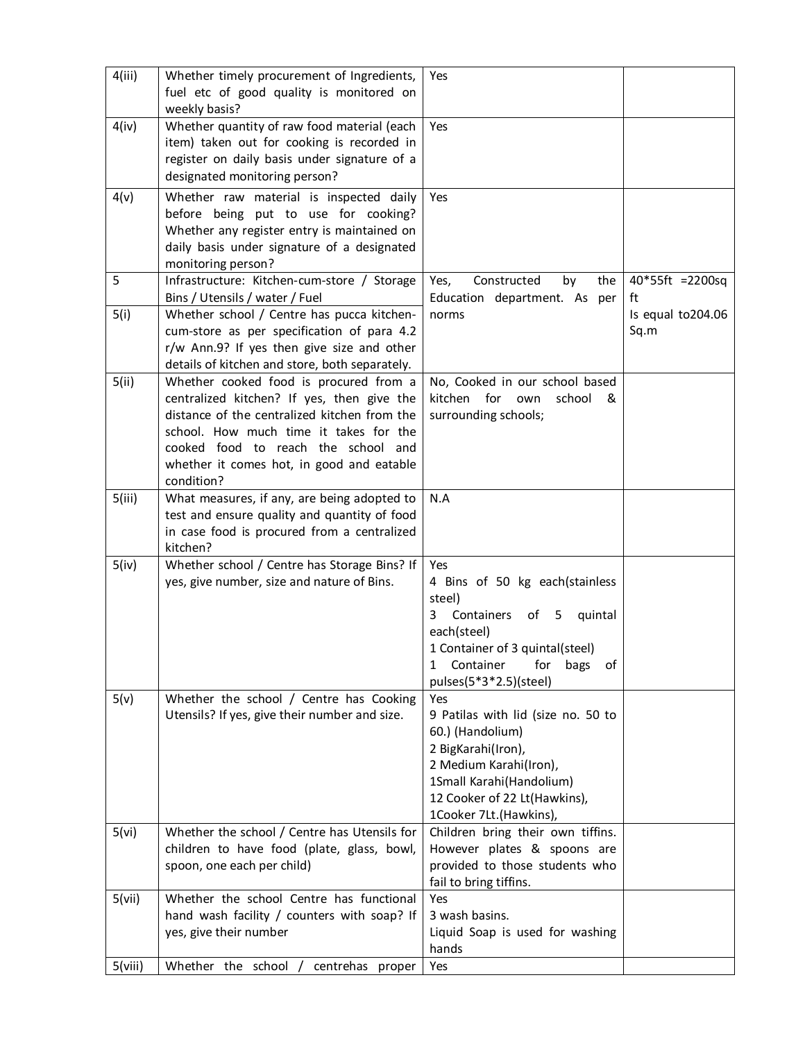| 4(iii)  | Whether timely procurement of Ingredients,<br>fuel etc of good quality is monitored on<br>weekly basis?                                                                                                                                                                          | Yes                                                                                                                                                                                                         |                           |
|---------|----------------------------------------------------------------------------------------------------------------------------------------------------------------------------------------------------------------------------------------------------------------------------------|-------------------------------------------------------------------------------------------------------------------------------------------------------------------------------------------------------------|---------------------------|
| 4(iv)   | Whether quantity of raw food material (each<br>item) taken out for cooking is recorded in<br>register on daily basis under signature of a<br>designated monitoring person?                                                                                                       | Yes                                                                                                                                                                                                         |                           |
| 4(v)    | Whether raw material is inspected daily<br>before being put to use for cooking?<br>Whether any register entry is maintained on<br>daily basis under signature of a designated<br>monitoring person?                                                                              | Yes                                                                                                                                                                                                         |                           |
| 5       | Infrastructure: Kitchen-cum-store / Storage<br>Bins / Utensils / water / Fuel                                                                                                                                                                                                    | Yes,<br>Constructed<br>by<br>the<br>Education department. As per                                                                                                                                            | 40*55ft =2200sq<br>ft     |
| 5(i)    | Whether school / Centre has pucca kitchen-<br>cum-store as per specification of para 4.2<br>r/w Ann.9? If yes then give size and other<br>details of kitchen and store, both separately.                                                                                         | norms                                                                                                                                                                                                       | Is equal to204.06<br>Sq.m |
| 5(ii)   | Whether cooked food is procured from a<br>centralized kitchen? If yes, then give the<br>distance of the centralized kitchen from the<br>school. How much time it takes for the<br>cooked food to reach the school and<br>whether it comes hot, in good and eatable<br>condition? | No, Cooked in our school based<br>kitchen<br>for<br>school<br>&<br>own<br>surrounding schools;                                                                                                              |                           |
| 5(iii)  | What measures, if any, are being adopted to<br>test and ensure quality and quantity of food<br>in case food is procured from a centralized<br>kitchen?                                                                                                                           | N.A                                                                                                                                                                                                         |                           |
| 5(iv)   | Whether school / Centre has Storage Bins? If<br>yes, give number, size and nature of Bins.                                                                                                                                                                                       | Yes<br>4 Bins of 50 kg each(stainless<br>steel)<br>3<br>Containers<br>of<br>5<br>quintal<br>each(steel)<br>1 Container of 3 quintal(steel)<br>Container<br>for<br>bags<br>1<br>οf<br>pulses(5*3*2.5)(steel) |                           |
| 5(v)    | Whether the school / Centre has Cooking<br>Utensils? If yes, give their number and size.                                                                                                                                                                                         | Yes<br>9 Patilas with lid (size no. 50 to<br>60.) (Handolium)<br>2 BigKarahi(Iron),<br>2 Medium Karahi(Iron),<br>1Small Karahi(Handolium)<br>12 Cooker of 22 Lt(Hawkins),<br>1Cooker 7Lt.(Hawkins),         |                           |
| 5(vi)   | Whether the school / Centre has Utensils for<br>children to have food (plate, glass, bowl,<br>spoon, one each per child)                                                                                                                                                         | Children bring their own tiffins.<br>However plates & spoons are<br>provided to those students who<br>fail to bring tiffins.                                                                                |                           |
| 5(vii)  | Whether the school Centre has functional<br>hand wash facility / counters with soap? If<br>yes, give their number                                                                                                                                                                | Yes<br>3 wash basins.<br>Liquid Soap is used for washing<br>hands                                                                                                                                           |                           |
| 5(viii) | Whether the school<br>centrehas proper                                                                                                                                                                                                                                           | Yes                                                                                                                                                                                                         |                           |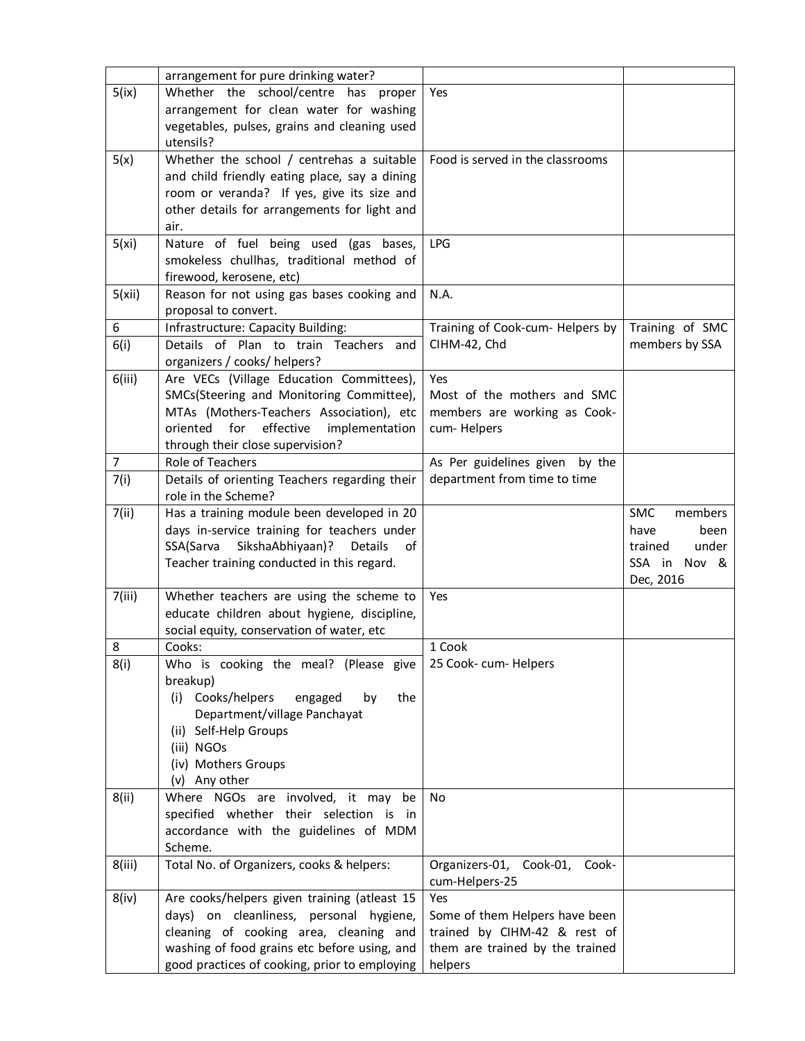|        | arrangement for pure drinking water?           |                                     |                       |
|--------|------------------------------------------------|-------------------------------------|-----------------------|
| 5(ix)  | Whether the school/centre has proper           | Yes                                 |                       |
|        | arrangement for clean water for washing        |                                     |                       |
|        | vegetables, pulses, grains and cleaning used   |                                     |                       |
|        | utensils?                                      |                                     |                       |
| 5(x)   | Whether the school / centrehas a suitable      | Food is served in the classrooms    |                       |
|        | and child friendly eating place, say a dining  |                                     |                       |
|        | room or veranda? If yes, give its size and     |                                     |                       |
|        | other details for arrangements for light and   |                                     |                       |
|        | air.                                           |                                     |                       |
| 5(xi)  | Nature of fuel being used (gas bases,          | <b>LPG</b>                          |                       |
|        | smokeless chullhas, traditional method of      |                                     |                       |
|        | firewood, kerosene, etc)                       |                                     |                       |
| 5(xii) | Reason for not using gas bases cooking and     | N.A.                                |                       |
|        | proposal to convert.                           |                                     |                       |
| 6      | Infrastructure: Capacity Building:             | Training of Cook-cum- Helpers by    | Training of SMC       |
| 6(i)   | Details of Plan to train Teachers and          | CIHM-42, Chd                        | members by SSA        |
|        | organizers / cooks/ helpers?                   |                                     |                       |
| 6(iii) | Are VECs (Village Education Committees),       | Yes                                 |                       |
|        | SMCs(Steering and Monitoring Committee),       | Most of the mothers and SMC         |                       |
|        | MTAs (Mothers-Teachers Association), etc       | members are working as Cook-        |                       |
|        | effective<br>for<br>oriented<br>implementation | cum-Helpers                         |                       |
|        | through their close supervision?               |                                     |                       |
| 7      | Role of Teachers                               | As Per guidelines given<br>by the   |                       |
|        | Details of orienting Teachers regarding their  | department from time to time        |                       |
| 7(i)   | role in the Scheme?                            |                                     |                       |
| 7(ii)  | Has a training module been developed in 20     |                                     | <b>SMC</b><br>members |
|        | days in-service training for teachers under    |                                     | have<br>been          |
|        | SikshaAbhiyaan)?<br>SSA(Sarva<br>Details<br>of |                                     | under<br>trained      |
|        | Teacher training conducted in this regard.     |                                     | SSA in Nov &          |
|        |                                                |                                     | Dec, 2016             |
| 7(iii) | Whether teachers are using the scheme to       | Yes                                 |                       |
|        | educate children about hygiene, discipline,    |                                     |                       |
|        | social equity, conservation of water, etc      |                                     |                       |
| 8      | Cooks:                                         | 1 Cook                              |                       |
| 8(i)   | Who is cooking the meal? (Please give          | 25 Cook- cum- Helpers               |                       |
|        | breakup)                                       |                                     |                       |
|        | Cooks/helpers<br>the<br>(i)<br>engaged<br>by   |                                     |                       |
|        | Department/village Panchayat                   |                                     |                       |
|        | (ii) Self-Help Groups                          |                                     |                       |
|        | (iii) NGOs                                     |                                     |                       |
|        | (iv) Mothers Groups                            |                                     |                       |
|        | (v) Any other                                  |                                     |                       |
| 8(ii)  | Where NGOs are involved, it may<br>be          | <b>No</b>                           |                       |
|        | specified whether their selection is in        |                                     |                       |
|        | accordance with the guidelines of MDM          |                                     |                       |
|        | Scheme.                                        |                                     |                       |
| 8(iii) | Total No. of Organizers, cooks & helpers:      | Organizers-01,<br>Cook-01,<br>Cook- |                       |
|        |                                                | cum-Helpers-25                      |                       |
| 8(iv)  | Are cooks/helpers given training (atleast 15   | Yes                                 |                       |
|        | days) on cleanliness, personal hygiene,        | Some of them Helpers have been      |                       |
|        | cleaning of cooking area, cleaning and         | trained by CIHM-42 & rest of        |                       |
|        | washing of food grains etc before using, and   | them are trained by the trained     |                       |
|        | good practices of cooking, prior to employing  | helpers                             |                       |